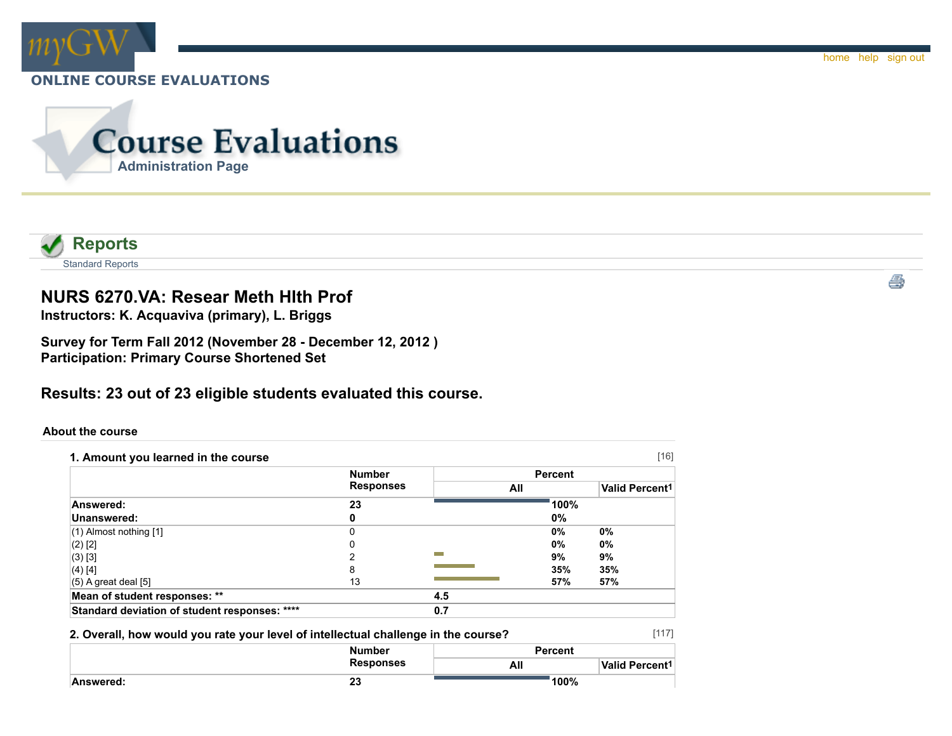



# **NURS 6270.VA: Resear Meth Hlth Prof**

**Instructors: K. Acquaviva (primary), L. Briggs**

**Survey for Term Fall 2012 (November 28 - December 12, 2012 ) Participation: Primary Course Shortened Set**

**Results: 23 out of 23 eligible students evaluated this course.**

### **About the course**

| 1. Amount you learned in the course           |                  |     |                | $[16]$                     |
|-----------------------------------------------|------------------|-----|----------------|----------------------------|
|                                               | <b>Number</b>    |     | <b>Percent</b> |                            |
|                                               | <b>Responses</b> | All |                | Valid Percent <sup>1</sup> |
| Answered:                                     | 23               |     | 100%           |                            |
| Unanswered:                                   |                  |     | 0%             |                            |
| $(1)$ Almost nothing $[1]$                    |                  |     | 0%             | 0%                         |
| $(2)$ [2]                                     |                  |     | 0%             | 0%                         |
| (3) [3]                                       |                  |     | 9%             | 9%                         |
| (4) [4]                                       | 8                |     | 35%            | 35%                        |
| $(5)$ A great deal $[5]$                      | 13               |     | 57%            | 57%                        |
| Mean of student responses: **                 |                  | 4.5 |                |                            |
| Standard deviation of student responses: **** |                  | 0.7 |                |                            |

### **2. Overall, how would you rate your level of intellectual challenge in the course?**

|           | <b>Number</b>    | <b>Percent</b> |                       |  |
|-----------|------------------|----------------|-----------------------|--|
|           | <b>Responses</b> | All            | <b>Valid Percent1</b> |  |
| Answered: | 25               | 100%           |                       |  |

[117]

ê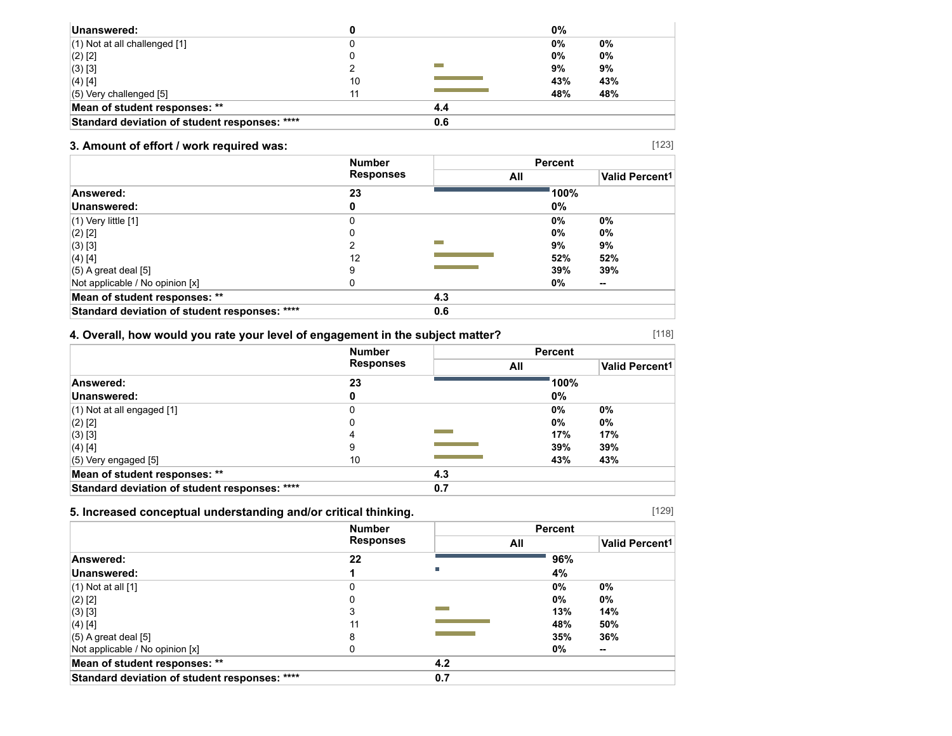| Unanswered:                                   |    |     | 0%  |     |
|-----------------------------------------------|----|-----|-----|-----|
| $(1)$ Not at all challenged $[1]$             |    |     | 0%  | 0%  |
| $(2)$ [2]                                     |    |     | 0%  | 0%  |
| (3) [3]                                       |    |     | 9%  | 9%  |
| $(4)$ [4]                                     | 10 |     | 43% | 43% |
| $(5)$ Very challenged $[5]$                   |    |     | 48% | 48% |
| Mean of student responses: **                 |    | 4.4 |     |     |
| Standard deviation of student responses: **** |    | 0.6 |     |     |

## **3. Amount of effort / work required was:**

|                                               | <b>Number</b><br><b>Responses</b> |     | <b>Percent</b> |                       |
|-----------------------------------------------|-----------------------------------|-----|----------------|-----------------------|
|                                               |                                   | All |                | <b>Valid Percent1</b> |
| Answered:                                     | 23                                |     | 100%           |                       |
| Unanswered:                                   | 0                                 |     | 0%             |                       |
| $(1)$ Very little $[1]$                       | ი                                 |     | 0%             | $0\%$                 |
| $(2)$ [2]                                     | 0                                 |     | 0%             | $0\%$                 |
| $(3)$ [3]                                     |                                   |     | 9%             | 9%                    |
| (4) [4]                                       | 12                                |     | 52%            | 52%                   |
| $(5)$ A great deal $[5]$                      | 9                                 |     | 39%            | 39%                   |
| Not applicable / No opinion [x]               |                                   |     | 0%             | $\sim$                |
| Mean of student responses: **                 |                                   | 4.3 |                |                       |
| Standard deviation of student responses: **** |                                   | 0.6 |                |                       |

## **4. Overall, how would you rate your level of engagement in the subject matter?**

|                                               | <b>Number</b>    |     | <b>Percent</b> |                       |
|-----------------------------------------------|------------------|-----|----------------|-----------------------|
|                                               | <b>Responses</b> |     | All            | <b>Valid Percent1</b> |
| Answered:                                     | 23               |     | 100%           |                       |
| Unanswered:                                   | 0                |     | 0%             |                       |
| $(1)$ Not at all engaged $[1]$                | 0                |     | $0\%$          | 0%                    |
| $(2)$ [2]                                     | 0                |     | $0\%$          | 0%                    |
| (3) [3]                                       | 4                |     | 17%            | 17%                   |
| $(4)$ [4]                                     | 9                |     | 39%            | 39%                   |
| $(5)$ Very engaged $[5]$                      | 10               |     | 43%            | 43%                   |
| Mean of student responses: **                 |                  | 4.3 |                |                       |
| Standard deviation of student responses: **** |                  | 0.7 |                |                       |

## **5. Increased conceptual understanding and/or critical thinking.**

|                                               | <b>Number</b>    |     | <b>Percent</b> |                       |
|-----------------------------------------------|------------------|-----|----------------|-----------------------|
|                                               | <b>Responses</b> | All |                | <b>Valid Percent1</b> |
| Answered:                                     | 22               |     | 96%            |                       |
| Unanswered:                                   |                  |     | 4%             |                       |
| $(1)$ Not at all $[1]$                        | 0                |     | 0%             | 0%                    |
| $(2)$ [2]                                     |                  |     | 0%             | 0%                    |
| (3) [3]                                       | 3                |     | 13%            | 14%                   |
| (4) [4]                                       | 11               |     | 48%            | 50%                   |
| $(5)$ A great deal $[5]$                      | 8                |     | 35%            | 36%                   |
| Not applicable / No opinion [x]               |                  |     | 0%             | $\sim$                |
| Mean of student responses: **                 |                  | 4.2 |                |                       |
| Standard deviation of student responses: **** |                  | 0.7 |                |                       |

[129]

[118]

[123]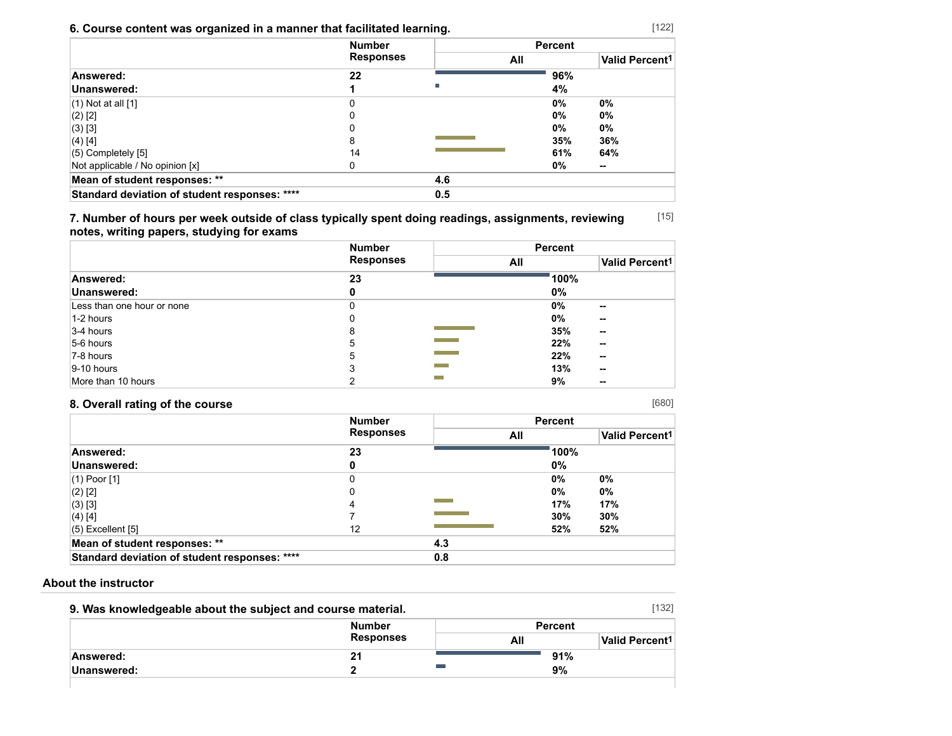## **6. Course content was organized in a manner that facilitated learning.**

|                                               | <b>Number</b>    |     | <b>Percent</b> |       |
|-----------------------------------------------|------------------|-----|----------------|-------|
|                                               | <b>Responses</b> | All |                |       |
| Answered:                                     | 22               |     | 96%            |       |
| Unanswered:                                   |                  | г   | 4%             |       |
| $(1)$ Not at all $[1]$                        |                  |     | $0\%$          | 0%    |
| $(2)$ [2]                                     |                  |     | $0\%$          | $0\%$ |
| (3) [3]                                       |                  |     | $0\%$          | 0%    |
| (4) [4]                                       | 8                |     | 35%            | 36%   |
| $(5)$ Completely $[5]$                        | 14               |     | 61%            | 64%   |
| Not applicable / No opinion [x]               |                  |     | 0%             | --    |
| Mean of student responses: **                 |                  | 4.6 |                |       |
| Standard deviation of student responses: **** |                  | 0.5 |                |       |

[15] **7. Number of hours per week outside of class typically spent doing readings, assignments, reviewing notes, writing papers, studying for exams**

|                            | <b>Number</b>    | <b>Percent</b>                            |
|----------------------------|------------------|-------------------------------------------|
|                            | <b>Responses</b> | Valid Percent <sup>1</sup><br>All         |
| Answered:                  | 23               | 100%                                      |
| Unanswered:                | o                | $0\%$                                     |
| Less than one hour or none |                  | 0%<br>$\sim$                              |
| 1-2 hours                  | υ                | 0%<br>$\sim$                              |
| $3-4$ hours                | 8                | 35%<br>$\sim$                             |
| 5-6 hours                  | 5                | <b>Contract Contract</b><br>22%<br>--     |
| 7-8 hours                  | 5                | <b>Contract Contract</b><br>22%<br>$\sim$ |
| $ 9-10$ hours              |                  | 13%<br>--                                 |
| More than 10 hours         |                  | 9%<br>$\sim$                              |

## **8. Overall rating of the course**

| <b>Number</b><br><b>Responses</b> |     | <b>Percent</b> |                       |  |
|-----------------------------------|-----|----------------|-----------------------|--|
|                                   | All |                | <b>Valid Percent1</b> |  |
| 23                                |     | 100%           |                       |  |
| 0                                 |     | 0%             |                       |  |
| 0                                 |     | 0%             | 0%                    |  |
| 0                                 |     | 0%             | $0\%$                 |  |
| 4                                 |     | 17%            | 17%                   |  |
|                                   |     | 30%            | 30%                   |  |
| 12                                |     | 52%            | 52%                   |  |
|                                   | 4.3 |                |                       |  |
|                                   | 0.8 |                |                       |  |
|                                   |     |                |                       |  |

### **About the instructor**

| 9. Was knowledgeable about the subject and course material. |                  |                | [132]                      |
|-------------------------------------------------------------|------------------|----------------|----------------------------|
|                                                             | <b>Number</b>    | <b>Percent</b> |                            |
|                                                             | <b>Responses</b> | All            | Valid Percent <sup>1</sup> |
| Answered:                                                   | 21               | 91%            |                            |
| Unanswered:                                                 |                  | 9%             |                            |
|                                                             |                  |                |                            |

[680]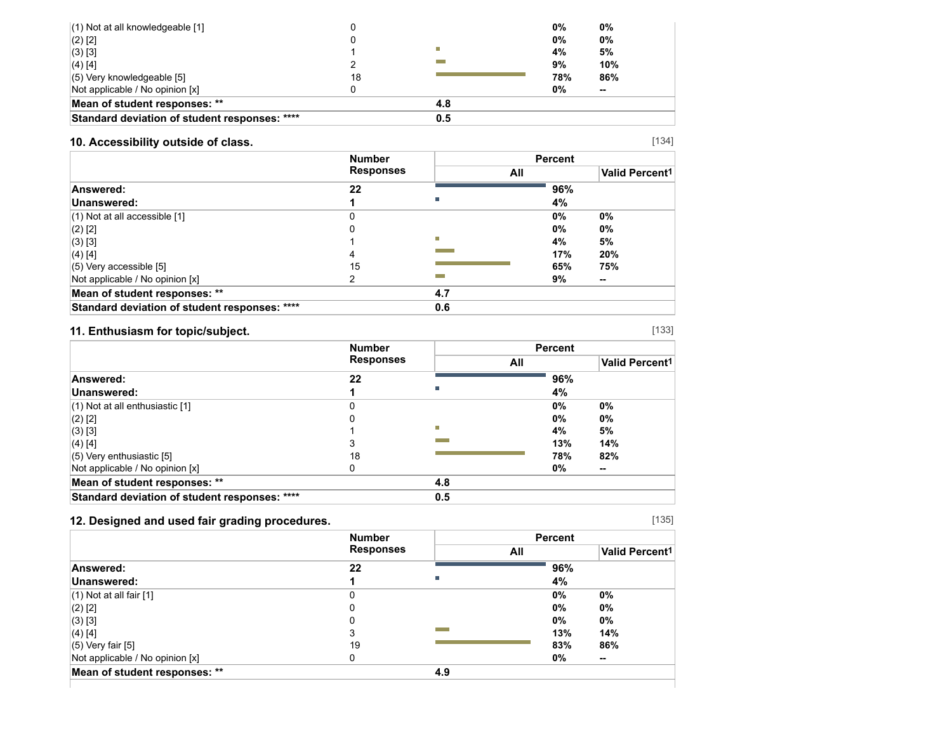| $(1)$ Not at all knowledgeable [1]            |    |     | 0%  | $0\%$  |  |
|-----------------------------------------------|----|-----|-----|--------|--|
| $(2)$ [2]                                     |    |     | 0%  | 0%     |  |
| $(3)$ [3]                                     |    | г   | 4%  | 5%     |  |
| $(4)$ [4]                                     |    |     | 9%  | 10%    |  |
| $(5)$ Very knowledgeable [5]                  | 18 |     | 78% | 86%    |  |
| Not applicable / No opinion [x]               |    |     | 0%  | $\sim$ |  |
| Mean of student responses: **                 |    | 4.8 |     |        |  |
| Standard deviation of student responses: **** |    | 0.5 |     |        |  |

## **10. Accessibility outside of class.**

|                                               | <b>Number</b>    |     | <b>Percent</b> |                       |
|-----------------------------------------------|------------------|-----|----------------|-----------------------|
|                                               | <b>Responses</b> |     | All            | <b>Valid Percent1</b> |
| Answered:                                     | 22               |     | 96%            |                       |
| Unanswered:                                   |                  |     | 4%             |                       |
| $(1)$ Not at all accessible $[1]$             |                  |     | 0%             | 0%                    |
| $(2)$ [2]                                     |                  |     | 0%             | $0\%$                 |
| $(3)$ [3]                                     |                  | П   | 4%             | 5%                    |
| $(4)$ [4]                                     | 4                |     | 17%            | 20%                   |
| $(5)$ Very accessible [5]                     | 15               |     | 65%            | 75%                   |
| Not applicable / No opinion [x]               | ົ                |     | 9%             | $\sim$                |
| Mean of student responses: **                 |                  | 4.7 |                |                       |
| Standard deviation of student responses: **** |                  | 0.6 |                |                       |

## **11. Enthusiasm for topic/subject.**

|                                               | <b>Number</b>    |     |     | <b>Percent</b> |                |
|-----------------------------------------------|------------------|-----|-----|----------------|----------------|
|                                               | <b>Responses</b> |     | All |                | Valid Percent1 |
| Answered:                                     | 22               |     |     | 96%            |                |
| Unanswered:                                   |                  |     |     | 4%             |                |
| $(1)$ Not at all enthusiastic $[1]$           |                  |     |     | 0%             | 0%             |
| $(2)$ [2]                                     |                  |     |     | 0%             | $0\%$          |
| $(3)$ [3]                                     |                  | П   |     | 4%             | 5%             |
| $(4)$ [4]                                     |                  |     |     | 13%            | 14%            |
| $(5)$ Very enthusiastic [5]                   | 18               |     |     | 78%            | 82%            |
| Not applicable / No opinion [x]               | U                |     |     | 0%             | $\sim$         |
| Mean of student responses: **                 |                  | 4.8 |     |                |                |
| Standard deviation of student responses: **** |                  | 0.5 |     |                |                |

## **12. Designed and used fair grading procedures.**

|                                 | <b>Number</b><br><b>Responses</b> |     | <b>Percent</b> |                       |
|---------------------------------|-----------------------------------|-----|----------------|-----------------------|
|                                 |                                   |     | All            | <b>Valid Percent1</b> |
| Answered:                       | 22                                |     | 96%            |                       |
| Unanswered:                     |                                   |     | 4%             |                       |
| $(1)$ Not at all fair $[1]$     | 0                                 |     | 0%             | 0%                    |
| $(2)$ [2]                       | 0                                 |     | 0%             | 0%                    |
| $(3)$ [3]                       | 0                                 |     | 0%             | 0%                    |
| (4) [4]                         |                                   |     | 13%            | 14%                   |
| $(5)$ Very fair $[5]$           | 19                                |     | 83%            | 86%                   |
| Not applicable / No opinion [x] | 0                                 |     | $0\%$          | $\sim$                |
| Mean of student responses: **   |                                   | 4.9 |                |                       |

[135]

[133]

[134]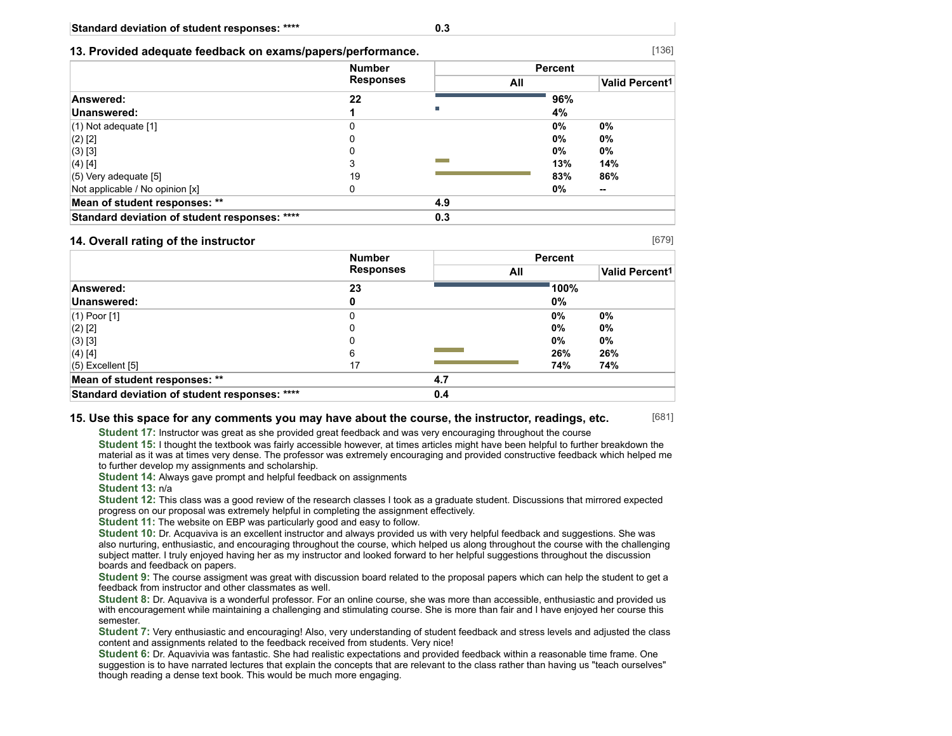|  |  |  | 13. Provided adequate feedback on exams/papers/performance. |
|--|--|--|-------------------------------------------------------------|
|  |  |  |                                                             |

|                                               | <b>Number</b>    |     | <b>Percent</b> |                            |
|-----------------------------------------------|------------------|-----|----------------|----------------------------|
|                                               | <b>Responses</b> | All |                | Valid Percent <sup>1</sup> |
| Answered:                                     | 22               |     | 96%            |                            |
| Unanswered:                                   |                  | Ш   | 4%             |                            |
| $(1)$ Not adequate $[1]$                      |                  |     | 0%             | 0%                         |
| $(2)$ [2]                                     |                  |     | 0%             | $0\%$                      |
| (3) [3]                                       |                  |     | 0%             | 0%                         |
| (4) [4]                                       | 3                |     | 13%            | 14%                        |
| $(5)$ Very adequate [5]                       | 19               |     | 83%            | 86%                        |
| Not applicable / No opinion [x]               | 0                |     | 0%             | --                         |
| Mean of student responses: **                 |                  | 4.9 |                |                            |
| Standard deviation of student responses: **** |                  | 0.3 |                |                            |

#### **14. Overall rating of the instructor**

[679]

[681]

|                                               | <b>Number</b>    |     | <b>Percent</b> |                       |
|-----------------------------------------------|------------------|-----|----------------|-----------------------|
|                                               | <b>Responses</b> | All |                | <b>Valid Percent1</b> |
| Answered:                                     | 23               |     | 100%           |                       |
| Unanswered:                                   |                  |     | 0%             |                       |
| $(1)$ Poor [1]                                | 0                |     | 0%             | $0\%$                 |
| $(2)$ [2]                                     | 0                |     | 0%             | 0%                    |
| $(3)$ [3]                                     | 0                |     | 0%             | $0\%$                 |
| $(4)$ [4]                                     | 6                |     | 26%            | 26%                   |
| $(5)$ Excellent $[5]$                         | 17               |     | 74%            | 74%                   |
| Mean of student responses: **                 |                  | 4.7 |                |                       |
| Standard deviation of student responses: **** |                  | 0.4 |                |                       |

#### **15. Use this space for any comments you may have about the course, the instructor, readings, etc.**

**Student 17:** Instructor was great as she provided great feedback and was very encouraging throughout the course

**Student 15:** I thought the textbook was fairly accessible however, at times articles might have been helpful to further breakdown the material as it was at times very dense. The professor was extremely encouraging and provided constructive feedback which helped me to further develop my assignments and scholarship.

**Student 14:** Always gave prompt and helpful feedback on assignments

**Student 13:** n/a

**Student 12:** This class was a good review of the research classes I took as a graduate student. Discussions that mirrored expected progress on our proposal was extremely helpful in completing the assignment effectively.

**Student 11:** The website on EBP was particularly good and easy to follow.

**Student 10:** Dr. Acquaviva is an excellent instructor and always provided us with very helpful feedback and suggestions. She was also nurturing, enthusiastic, and encouraging throughout the course, which helped us along throughout the course with the challenging subject matter. I truly enjoyed having her as my instructor and looked forward to her helpful suggestions throughout the discussion boards and feedback on papers.

**Student 9:** The course assigment was great with discussion board related to the proposal papers which can help the student to get a feedback from instructor and other classmates as well.

**Student 8:** Dr. Aquaviva is a wonderful professor. For an online course, she was more than accessible, enthusiastic and provided us with encouragement while maintaining a challenging and stimulating course. She is more than fair and I have enjoyed her course this semester.

**Student 7:** Very enthusiastic and encouraging! Also, very understanding of student feedback and stress levels and adjusted the class content and assignments related to the feedback received from students. Very nice!

**Student 6:** Dr. Aquavivia was fantastic. She had realistic expectations and provided feedback within a reasonable time frame. One suggestion is to have narrated lectures that explain the concepts that are relevant to the class rather than having us "teach ourselves" though reading a dense text book. This would be much more engaging.

[136]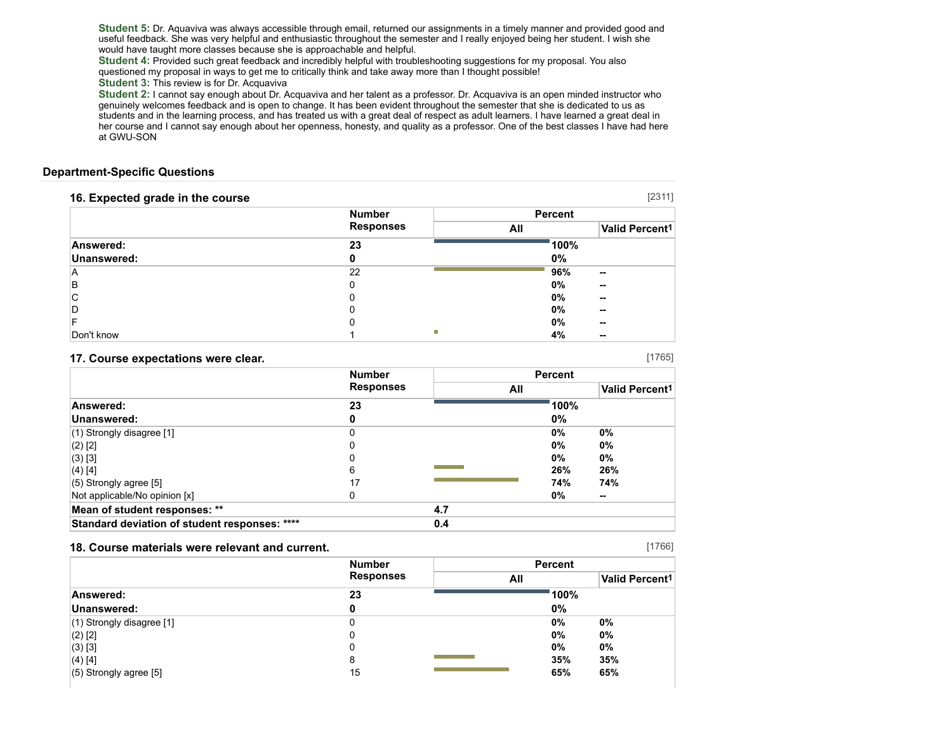**Student 5:** Dr. Aquaviva was always accessible through email, returned our assignments in a timely manner and provided good and useful feedback. She was very helpful and enthusiastic throughout the semester and I really enjoyed being her student. I wish she would have taught more classes because she is approachable and helpful.

**Student 4:** Provided such great feedback and incredibly helpful with troubleshooting suggestions for my proposal. You also questioned my proposal in ways to get me to critically think and take away more than I thought possible!

#### **Student 3:** This review is for Dr. Acquaviva

**Student 2:** I cannot say enough about Dr. Acquaviva and her talent as a professor. Dr. Acquaviva is an open minded instructor who genuinely welcomes feedback and is open to change. It has been evident throughout the semester that she is dedicated to us as students and in the learning process, and has treated us with a great deal of respect as adult learners. I have learned a great deal in her course and I cannot say enough about her openness, honesty, and quality as a professor. One of the best classes I have had here at GWU-SON

#### **Department-Specific Questions**

| 16. Expected grade in the course |                  |     |                            | [2311] |
|----------------------------------|------------------|-----|----------------------------|--------|
|                                  | <b>Number</b>    |     | <b>Percent</b>             |        |
|                                  | <b>Responses</b> | All | Valid Percent <sup>1</sup> |        |
| Answered:                        | 23               |     | 100%                       |        |
| Unanswered:                      |                  |     | $0\%$                      |        |
| ΙA                               | 22               |     | 96%<br>$\sim$              |        |
| ΙB                               |                  |     | $0\%$<br>$\sim$            |        |
| С                                |                  |     | $0\%$<br>--                |        |
| D                                |                  |     | $0\%$<br>$\sim$            |        |
|                                  |                  |     | 0%<br>$\sim$               |        |
| Don't know                       |                  | ш   | 4%<br>$\sim$               |        |

#### **17. Course expectations were clear.**

**Number Responses Percent All Valid Percent1 Answered: 23 100% Unanswered: 0 0%** (1) Strongly disagree [1] 0 **0% 0%** (2) [2] 0 **0% 0%** (3) [3] 0 **0% 0%** (4) [4] 6 **26% 26%** (5) Strongly agree [5] 17 **74% 74%** Not applicable/No opinion [x] 0 **0% -- Mean of student responses: \*\* 4.7 Standard deviation of student responses: \*\*\*\* 0.4**

#### **18. Course materials were relevant and current.**

|                             | <b>Number</b><br><b>Responses</b> | <b>Percent</b> |                       |
|-----------------------------|-----------------------------------|----------------|-----------------------|
|                             |                                   | All            | <b>Valid Percent1</b> |
| Answered:                   | 23                                | 100%           |                       |
| Unanswered:                 |                                   | $0\%$          |                       |
| $(1)$ Strongly disagree [1] |                                   | 0%             | 0%                    |
| $(2)$ [2]                   |                                   | $0\%$          | 0%                    |
| $(3)$ [3]                   | 0                                 | $0\%$          | 0%                    |
| (4) [4]                     | 8                                 | 35%            | 35%                   |
| $(5)$ Strongly agree [5]    | 15                                | 65%            | 65%                   |

[1766]

[1765]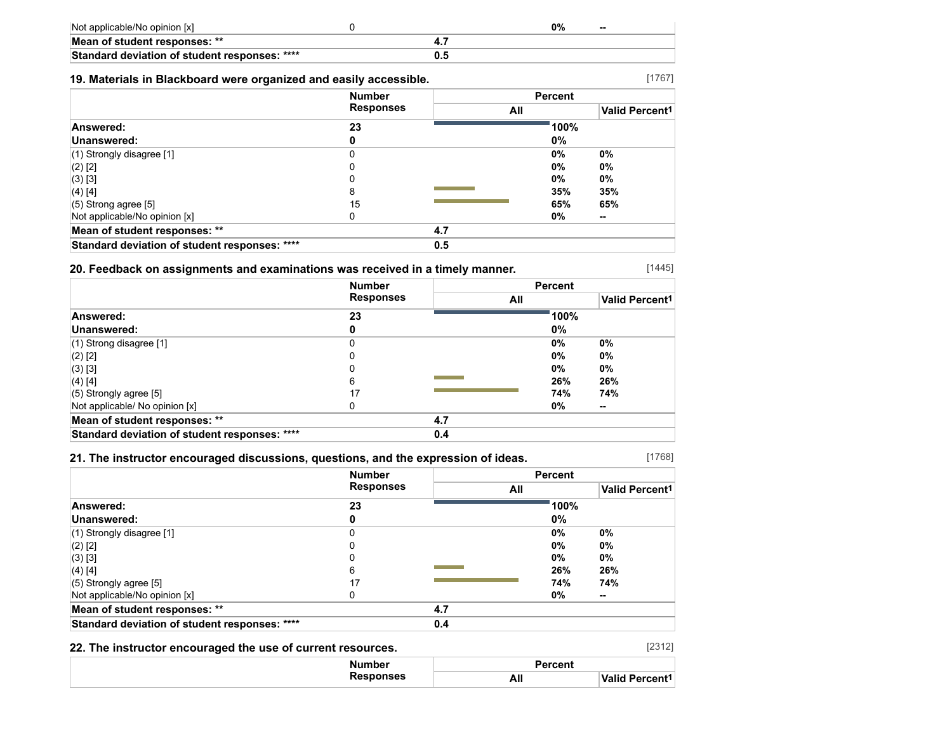| Not applicable/No opinion [x]                 | 9%<br>$- -$ |
|-----------------------------------------------|-------------|
| Mean of student responses: **                 |             |
| Standard deviation of student responses: **** |             |

### **19. Materials in Blackboard were organized and easily accessible.**

| <b>Responses</b><br>23<br>0<br>0 | All | 100%<br>0% | <b>Valid Percent1</b> |
|----------------------------------|-----|------------|-----------------------|
|                                  |     |            |                       |
|                                  |     |            |                       |
|                                  |     |            |                       |
|                                  |     | $0\%$      | $0\%$                 |
| 0                                |     | $0\%$      | 0%                    |
|                                  |     | $0\%$      | $0\%$                 |
| 8                                |     | 35%        | 35%                   |
| 15                               |     | 65%        | 65%                   |
| 0                                |     | 0%         | --                    |
|                                  | 4.7 |            |                       |
|                                  | 0.5 |            |                       |
|                                  |     |            |                       |

### **20. Feedback on assignments and examinations was received in a timely manner.**

|                                               | <b>Number</b>    |     | <b>Percent</b> |                       |
|-----------------------------------------------|------------------|-----|----------------|-----------------------|
|                                               | <b>Responses</b> | All |                | <b>Valid Percent1</b> |
| Answered:                                     | 23               |     | 100%           |                       |
| Unanswered:                                   |                  |     | 0%             |                       |
| $(1)$ Strong disagree [1]                     | 0                |     | 0%             | 0%                    |
| $(2)$ [2]                                     |                  |     | 0%             | 0%                    |
| $(3)$ [3]                                     |                  |     | 0%             | 0%                    |
| $(4)$ [4]                                     | 6                |     | 26%            | 26%                   |
| $(5)$ Strongly agree [5]                      | 17               |     | 74%            | 74%                   |
| Not applicable/ No opinion [x]                | 0                |     | 0%             | $\sim$                |
| Mean of student responses: **                 |                  | 4.7 |                |                       |
| Standard deviation of student responses: **** |                  | 0.4 |                |                       |

### **21. The instructor encouraged discussions, questions, and the expression of ideas.**

[1768]

[1767]

[1445]

|                                               | <b>Number</b><br><b>Responses</b> | <b>Percent</b> |       |                       |  |
|-----------------------------------------------|-----------------------------------|----------------|-------|-----------------------|--|
|                                               |                                   | All            |       | <b>Valid Percent1</b> |  |
| Answered:                                     | 23                                |                | 100%  |                       |  |
| Unanswered:                                   |                                   |                | 0%    |                       |  |
| (1) Strongly disagree [1]                     | 0                                 |                | $0\%$ | $0\%$                 |  |
| (2) [2]                                       | 0                                 |                | $0\%$ | $0\%$                 |  |
| (3) [3]                                       |                                   |                | $0\%$ | $0\%$                 |  |
| (4) [4]                                       | 6                                 |                | 26%   | 26%                   |  |
| $(5)$ Strongly agree [5]                      | 17                                |                | 74%   | 74%                   |  |
| Not applicable/No opinion [x]                 |                                   |                | $0\%$ | --                    |  |
| Mean of student responses: **                 |                                   | 4.7            |       |                       |  |
| Standard deviation of student responses: **** |                                   | 0.4            |       |                       |  |

## **22. The instructor encouraged the use of current resources.**

| [2312]<br>22. The instructor encouraged the use of current resources. |         |                            |  |
|-----------------------------------------------------------------------|---------|----------------------------|--|
| Number                                                                | Percent |                            |  |
| <b>Responses</b>                                                      | All     | Valid Percent <sup>1</sup> |  |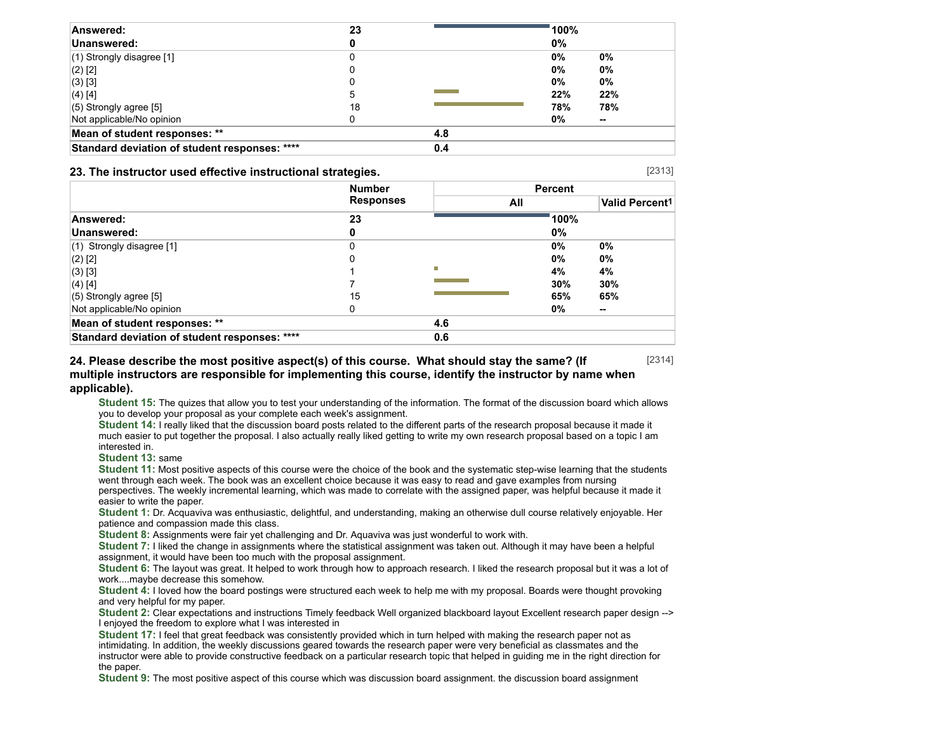| Answered:                                     | 23 |     | 100%  |       |
|-----------------------------------------------|----|-----|-------|-------|
| Unanswered:                                   |    |     | 0%    |       |
| $(1)$ Strongly disagree [1]                   |    |     | 0%    | 0%    |
| $(2)$ [2]                                     |    |     | $0\%$ | 0%    |
| (3) [3]                                       |    |     | 0%    | $0\%$ |
| $(4)$ [4]                                     | 5  |     | 22%   | 22%   |
| $(5)$ Strongly agree [5]                      | 18 |     | 78%   | 78%   |
| Not applicable/No opinion                     |    |     | 0%    | --    |
| Mean of student responses: **                 |    | 4.8 |       |       |
| Standard deviation of student responses: **** |    | 0.4 |       |       |

#### **23. The instructor used effective instructional strategies.**

[2313]

|                                               | <b>Number</b>    | <b>Percent</b> |       |                       |  |
|-----------------------------------------------|------------------|----------------|-------|-----------------------|--|
|                                               | <b>Responses</b> | All            |       | <b>Valid Percent1</b> |  |
| Answered:                                     | 23               |                | 100%  |                       |  |
| Unanswered:                                   | 0                |                | 0%    |                       |  |
| $(1)$ Strongly disagree [1]                   | 0                |                | $0\%$ | 0%                    |  |
| $(2)$ [2]                                     | 0                |                | 0%    | 0%                    |  |
| $(3)$ [3]                                     |                  | П              | 4%    | 4%                    |  |
| (4) [4]                                       |                  |                | 30%   | 30%                   |  |
| $(5)$ Strongly agree [5]                      | 15               |                | 65%   | 65%                   |  |
| Not applicable/No opinion                     | 0                |                | 0%    | --                    |  |
| Mean of student responses: **                 |                  | 4.6            |       |                       |  |
| Standard deviation of student responses: **** |                  | 0.6            |       |                       |  |

[2314] **24. Please describe the most positive aspect(s) of this course. What should stay the same? (If multiple instructors are responsible for implementing this course, identify the instructor by name when applicable).**

**Student 15:** The quizes that allow you to test your understanding of the information. The format of the discussion board which allows you to develop your proposal as your complete each week's assignment.

**Student 14:** I really liked that the discussion board posts related to the different parts of the research proposal because it made it much easier to put together the proposal. I also actually really liked getting to write my own research proposal based on a topic I am interested in.

**Student 13:** same

**Student 11:** Most positive aspects of this course were the choice of the book and the systematic step-wise learning that the students went through each week. The book was an excellent choice because it was easy to read and gave examples from nursing perspectives. The weekly incremental learning, which was made to correlate with the assigned paper, was helpful because it made it easier to write the paper.

**Student 1:** Dr. Acquaviva was enthusiastic, delightful, and understanding, making an otherwise dull course relatively enjoyable. Her patience and compassion made this class.

**Student 8:** Assignments were fair yet challenging and Dr. Aquaviva was just wonderful to work with.

**Student 7:** I liked the change in assignments where the statistical assignment was taken out. Although it may have been a helpful assignment, it would have been too much with the proposal assignment.

Student 6: The layout was great. It helped to work through how to approach research. I liked the research proposal but it was a lot of work....maybe decrease this somehow.

**Student 4:** I loved how the board postings were structured each week to help me with my proposal. Boards were thought provoking and very helpful for my paper.

**Student 2:** Clear expectations and instructions Timely feedback Well organized blackboard layout Excellent research paper design --> I enjoyed the freedom to explore what I was interested in

**Student 17:** I feel that great feedback was consistently provided which in turn helped with making the research paper not as intimidating. In addition, the weekly discussions geared towards the research paper were very beneficial as classmates and the instructor were able to provide constructive feedback on a particular research topic that helped in guiding me in the right direction for the paper.

**Student 9:** The most positive aspect of this course which was discussion board assignment. the discussion board assignment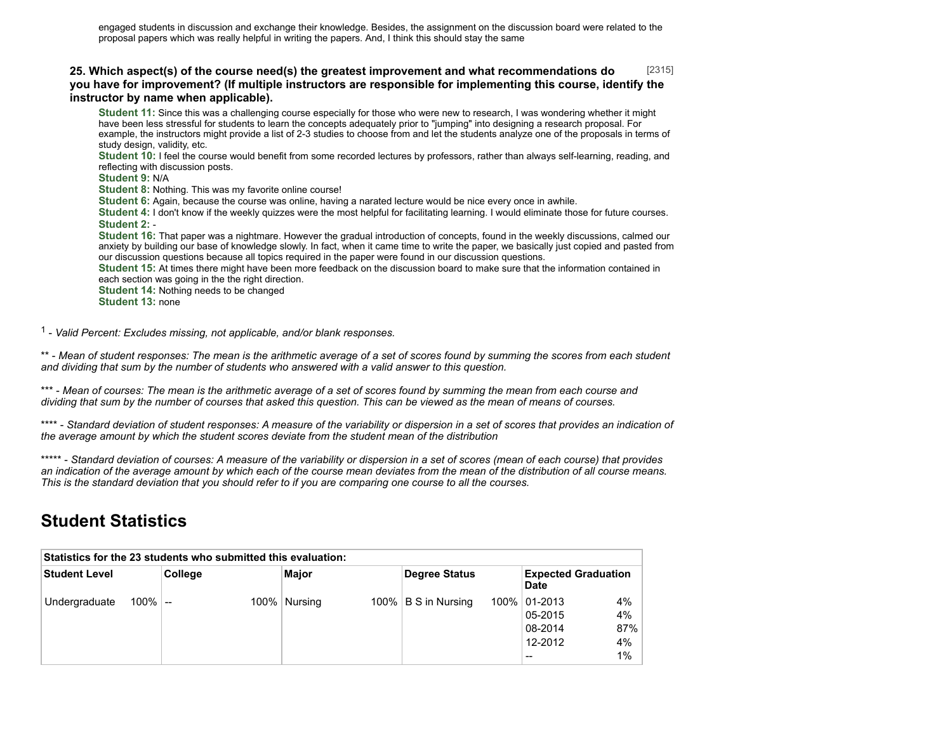#### [2315] **25. Which aspect(s) of the course need(s) the greatest improvement and what recommendations do you have for improvement? (If multiple instructors are responsible for implementing this course, identify the instructor by name when applicable).**

**Student 11:** Since this was a challenging course especially for those who were new to research, I was wondering whether it might have been less stressful for students to learn the concepts adequately prior to "jumping" into designing a research proposal. For example, the instructors might provide a list of 2-3 studies to choose from and let the students analyze one of the proposals in terms of study design, validity, etc.

**Student 10:** I feel the course would benefit from some recorded lectures by professors, rather than always self-learning, reading, and reflecting with discussion posts.

**Student 9:** N/A

**Student 8:** Nothing. This was my favorite online course!

**Student 6:** Again, because the course was online, having a narated lecture would be nice every once in awhile.

**Student 4:** I don't know if the weekly quizzes were the most helpful for facilitating learning. I would eliminate those for future courses. **Student 2:** -

**Student 16:** That paper was a nightmare. However the gradual introduction of concepts, found in the weekly discussions, calmed our anxiety by building our base of knowledge slowly. In fact, when it came time to write the paper, we basically just copied and pasted from our discussion questions because all topics required in the paper were found in our discussion questions.

**Student 15:** At times there might have been more feedback on the discussion board to make sure that the information contained in each section was going in the the right direction.

**Student 14:** Nothing needs to be changed

**Student 13:** none

1 - *Valid Percent: Excludes missing, not applicable, and/or blank responses.*

\*\* - *Mean of student responses: The mean is the arithmetic average of a set of scores found by summing the scores from each student and dividing that sum by the number of students who answered with a valid answer to this question.*

\*\*\* - *Mean of courses: The mean is the arithmetic average of a set of scores found by summing the mean from each course and dividing that sum by the number of courses that asked this question. This can be viewed as the mean of means of courses.*

\*\*\*\* - *Standard deviation of student responses: A measure of the variability or dispersion in a set of scores that provides an indication of the average amount by which the student scores deviate from the student mean of the distribution*

\*\*\*\*\* - *Standard deviation of courses: A measure of the variability or dispersion in a set of scores (mean of each course) that provides an indication of the average amount by which each of the course mean deviates from the mean of the distribution of all course means. This is the standard deviation that you should refer to if you are comparing one course to all the courses.*

# **Student Statistics**

| Statistics for the 23 students who submitted this evaluation: |            |         |  |                |  |                     |  |                                                        |                             |
|---------------------------------------------------------------|------------|---------|--|----------------|--|---------------------|--|--------------------------------------------------------|-----------------------------|
| Student Level                                                 |            | College |  | Major          |  | Degree Status       |  | <b>Expected Graduation</b><br>Date                     |                             |
| Undergraduate                                                 | $100\%$ -- |         |  | 100%   Nursing |  | 100% B S in Nursing |  | 100% 01-2013<br>05-2015<br>08-2014<br>12-2012<br>$- -$ | 4%<br>4%<br>87%<br>4%<br>1% |